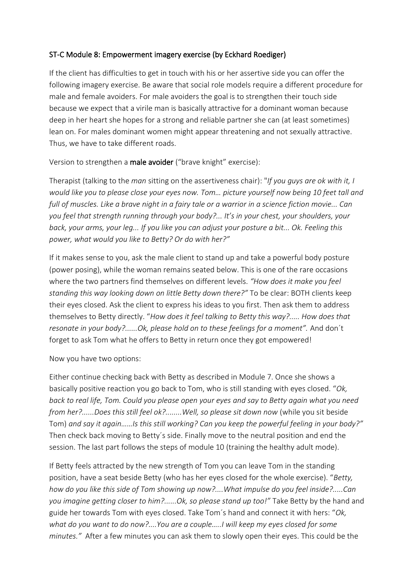## ST-C Module 8: Empowerment imagery exercise (by Eckhard Roediger)

If the client has difficulties to get in touch with his or her assertive side you can offer the following imagery exercise. Be aware that social role models require a different procedure for male and female avoiders. For male avoiders the goal is to strengthen their touch side because we expect that a virile man is basically attractive for a dominant woman because deep in her heart she hopes for a strong and reliable partner she can (at least sometimes) lean on. For males dominant women might appear threatening and not sexually attractive. Thus, we have to take different roads.

Version to strengthen a male avoider ("brave knight" exercise):

Therapist (talking to the *man* sitting on the assertiveness chair): "*If you guys are ok with it, I would like you to please close your eyes now. Tom… picture yourself now being 10 feet tall and full of muscles. Like a brave night in a fairy tale or a warrior in a science fiction movie... Can you feel that strength running through your body?... It's in your chest, your shoulders, your back, your arms, your leg... If you like you can adjust your posture a bit... Ok. Feeling this power, what would you like to Betty? Or do with her?"*

If it makes sense to you, ask the male client to stand up and take a powerful body posture (power posing), while the woman remains seated below. This is one of the rare occasions where the two partners find themselves on different levels. *"How does it make you feel standing this way looking down on little Betty down there?"* To be clear: BOTH clients keep their eyes closed. Ask the client to express his ideas to you first. Then ask them to address themselves to Betty directly. "*How does it feel talking to Betty this way?..... How does that resonate in your body?......Ok, please hold on to these feelings for a moment".* And don´t forget to ask Tom what he offers to Betty in return once they got empowered!

## Now you have two options:

Either continue checking back with Betty as described in Module 7. Once she shows a basically positive reaction you go back to Tom, who is still standing with eyes closed. "*Ok, back to real life, Tom. Could you please open your eyes and say to Betty again what you need from her?......Does this still feel ok?........Well, so please sit down now* (while you sit beside Tom) *and say it again……Is this still working? Can you keep the powerful feeling in your body?"*  Then check back moving to Betty´s side. Finally move to the neutral position and end the session. The last part follows the steps of module 10 (training the healthy adult mode).

If Betty feels attracted by the new strength of Tom you can leave Tom in the standing position, have a seat beside Betty (who has her eyes closed for the whole exercise). "*Betty, how do you like this side of Tom showing up now?....What impulse do you feel inside?.....Can you imagine getting closer to him?......Ok, so please stand up too!"* Take Betty by the hand and guide her towards Tom with eyes closed. Take Tom´s hand and connect it with hers: "*Ok, what do you want to do now?....You are a couple…..I will keep my eyes closed for some minutes."* After a few minutes you can ask them to slowly open their eyes. This could be the